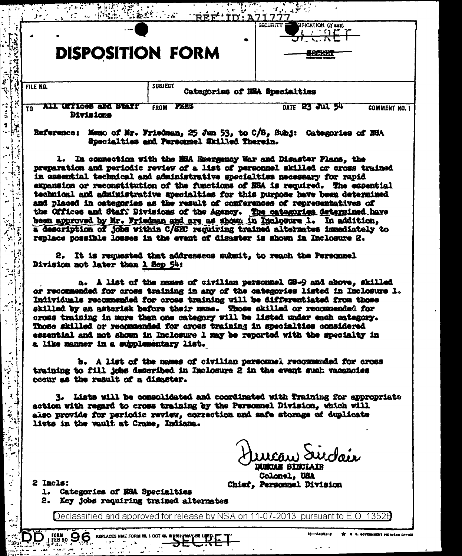|          |                                           | ਨ ਕਾਰ                                           |                                                          |
|----------|-------------------------------------------|-------------------------------------------------|----------------------------------------------------------|
|          |                                           | ۰                                               | SIFICATION (If any)<br><b>SECURITY</b><br>والمساور الميو |
|          | <b>DISPOSITION FORM</b>                   |                                                 | <b><i>BOOK</i></b><br><b>WARDERS</b>                     |
| FILE NO. |                                           | <b>SUBJECT</b><br>Categories of NSA Specialties |                                                          |
| TO       | <b>LLI ULTICGS and Btail</b><br>Divisions | <b>PERS</b><br><b>FROM</b>                      | DATE 23 JUL 54<br><b>COMMENT NO. 1</b>                   |

रिकाम करें के साथ स्थान करें हैं।<br>जन्म के साथ स्थान करें के साथ स्थान करें हैं।

Reference: Memo of Mr. Friedman, 25 Jun 53, to C/S, Subj: Categories of MSA Specialties and Personnel Skilled Therein.

1. In connection with the NSA Roergency War and Disaster Plans, the preparation and periodic review of a list of personnel skilled or cross trained in essential technical and administrative specialties necessary for rapid expansion or reconstitution of the functions of NSA is required. The essential technical and administrative specialties for this purpose bave been determined and placed in categories as the result of conferences of representatives of the Offices and Staff Divisions of the Agency. The categories determined have been approved by Mr. Friedman and are as shown in Inclosure 1. In addition, a description of jobs within C/SEC requiring trained alternates immediately to replace possible losses in the event of disaster is shown in Inclosure 2.

2. It is requested that addressees submit, to reach the Personnel Division not later than 1 Sep 54:

a. A list of the names of civilian personnel G8-9 and above, skilled or recommended for cross training in any of the categories listed in Inclosure 1. Individuals recommended for cross training will be differentiated from those skilled by an asterisk before their name. Those skilled or recommended for cross training in more than one category will be listed under each category. Those skilled or recommended for cross training in specialties considered essential and not shown in Inclosure 1 may be reported with the specialty in a like manner in a supplementary list.

b. A list of the names of civilian personnel recommended for cross training to fill jobs described in Inclosure 2 in the event such vacancies occur as the result of a disaster.

3. Lists will be consolidated and coordinated with Training for appropriate action with regard to cross training by the Personnel Division, which will also provide for periodic review, correction and mafe storage of duplicate lists in the vault at Crane, Indiana.

uncan Surclair

Colonal, USA Chief, Personnel Division

2 Incls:

FORM 96

 $\sim 10^{-10}$ e i s ÷, k,  $\ddot{\phantom{a}}$ 

 $\frac{1}{2}$ Ý. - 1  $\frac{1}{2}$ ŀ.,  $\mathbf{r}$ 

 $\sim 1.5$ - 13

 $\ddot{\phantom{0}}$ 

ाउँ

 $\sim$  1

 $\ddot{\mathbf{r}}$ 

 $\sim$  1

 $\ddot{\phi}$ 

 $\ddot{\phantom{a}}$ 

ر (مر<br>جا

 $\ddot{\phantom{1}}$ 

 $\mathbf{r}$ 

 $\frac{1}{2}$ 

 $\mathcal{E}^{\mathbf{a}}$ ķ,

 $\frac{1}{2}$ 

 $\epsilon_{\rm s}$ 

 $\mathcal{A}$ 

¢

 $\sim$   $\frac{1}{2}$ 

J,

 $\mathbf{A}$ 

 $\mathbf{r}$ 

1. Categories of NSA Specialties

2. Key jobs requiring trained alternates

REPLACES NME FORM 96, 1 OCT 46.

Declassified and approved for release by NSA on 11-07-2013 pursuant to E.O. 13526

16-4801-2 TT . 4. GOVERNMENT PRINTING OFFICE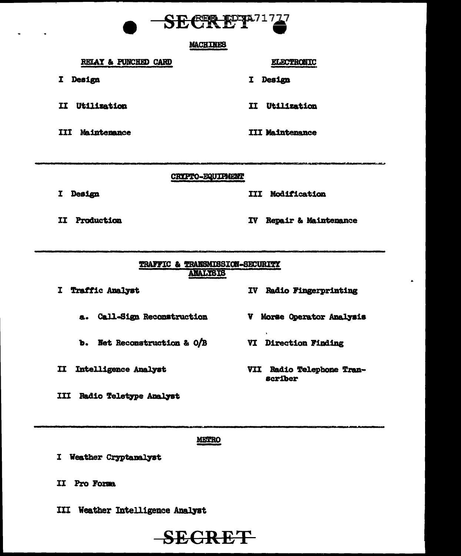

#### **MACHINES**

### RELAY & PUNCHED CARD

I Design

- II Utilization
- **III Maintenance**

# **ELECTRONIC**

I Design

II Utilization

**III Maintenance** 

CRYPTO-EQUIPMENT

I Design

**III Modification** 

II Production

IV Repair & Maintenance

IV Radio Fingerprinting

V Morse Operator Analysis

VII Radio Telephone Tran-

**VI Direction Finding** 

**scriber** 

# TRAFFIC & TRANSMISSION-SECURITY **ANALYSIS**

I Traffic Analyst

a. Call-Sign Reconstruction

- **b.** Net Reconstruction & O/B
- II Intelligence Analyst

III Radio Teletype Analyst

METRO

- I Weather Cryptanalyst
- II Pro Forma
- III Weather Intelligence Analyst

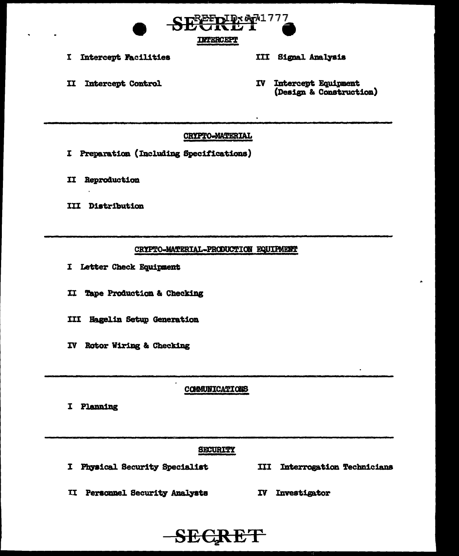

I Intercept Facilities

# III Signal Analysis

II Intercept Control

IV Intercept Equipment (Design & Construction)

# CRYPTO-MATERIAL

- I Preparation (Including Specifications)
- II Reproduction
- III Distribution

#### CRYPTO-MATERIAL-PRODUCTION EQUIPMENT

- I Letter Check Equipment
- II Tape Production & Checking
- III Hagelin Setup Generation
- IV Rotor Wiring & Checking

# **COMMUNICATIONS**

I Planning

#### **SECURITY**

- I Physical Security Specialist
- **III Interrogation Technicians**
- **II Personnel Security Analysts**
- IV Investigator

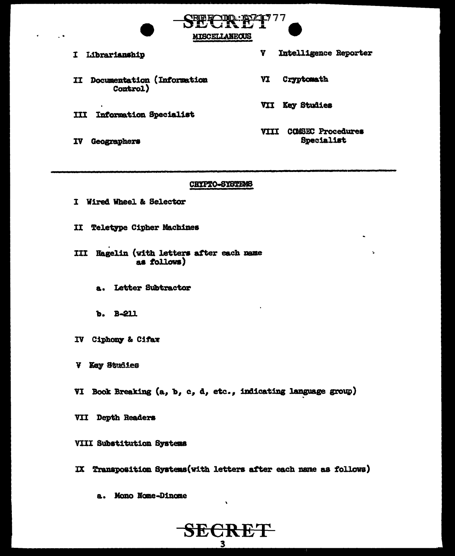I Librarianship II Documentation (Information Control)

**III Information Specialist** 

IV Geographers

Y Intelligence Reporter

VI Cryptomath

777

VII Key Studies

VIII COMSEC Procedures Specialist

#### CRYPTO-SYSTEMS

MISCELLANEOUS

- I Wired Wheel & Selector
- II Teletype Cipher Machines

III Hagelin (with letters after each name as follows)

- a. Letter Subtractor
- b. B-211
- IV Ciphony & Cifax
- V Kay Studies
- VI Book Breaking (a, b, c, d, etc., indicating language group)
- VII Depth Readers

VIII Substitution Systems

IX Transposition Systems (with letters after each name as follows)

SECRET  $\overline{\mathbf{3}}$ 

a. Mono Nome-Dinome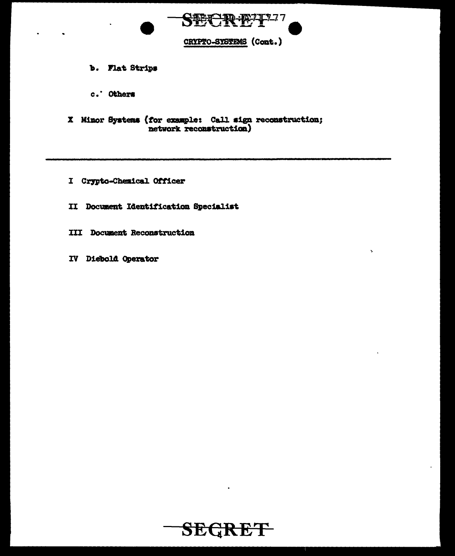

Š,

- b. Flat Strips
- c. Others
- X Minor Systems (for example: Call sign reconstruction;<br>network reconstruction)
- I Crypto-Chemical Officer
- II Document Identification Specialist
- **III Document Reconstruction**
- IV Diebold Operator

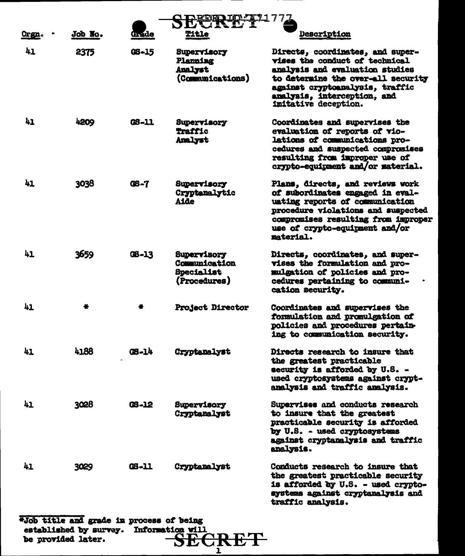| <u>Orgn.</u> | Job No. | Grade       | Title                                                             | <b>Description</b>                                                                                                                                                                                                                    |
|--------------|---------|-------------|-------------------------------------------------------------------|---------------------------------------------------------------------------------------------------------------------------------------------------------------------------------------------------------------------------------------|
| 41           | 2375    | GS-15       | Supervisory<br>Planning<br>Analyst<br>(Communications)            | Directs, coordinates, and super-<br>vises the conduct of technical<br>analysis and evaluation studies<br>to determine the over-all security<br>against cryptoanalysis, traffic<br>analysis, interception, and<br>imitative deception. |
| 41           | 4209    | GS-11       | Supervisory<br><b>Traffic</b><br>Analyst                          | Coordinates and supervises the<br>evaluation of reports of vio-<br>lations of communications pro-<br>cedures and suspected compromises<br>resulting from improper use of<br>crypto-equipment and/or material.                         |
| 41           | 3038    | <b>06-7</b> | Supervisory<br>Cryptenalytic<br><b>Aide</b>                       | Plans, directs, and reviews work<br>of subordinates engaged in eval-<br>uating reports of communication<br>procedure violations and suspected<br>compromises resulting from improper<br>use of crypto-equipment and/or<br>material.   |
| 41           | 3659    | $08 - 13$   | Supervisory<br>Communication<br><b>Specialist</b><br>(Procedures) | Directs, coordinates, and super-<br>vises the formulation and pro-<br>mulgation of policies and pro-<br>cedures pertaining to communi-<br>cation security.                                                                            |
| 41           |         |             | Project Director                                                  | Coordinates and supervises the<br>formulation and promulgation of<br>policies and procedures pertain-<br>ing to communication security.                                                                                               |
| 41           | 4188    | GS-14       | Cryptanalyst                                                      | Directs research to insure that<br>the greatest practicable<br>security is afforded by U.S. -<br>used cryptosystems against crypt-<br>analysis and traffic analysis.                                                                  |
| 41           | 3028    | 03-12       | Supervisory<br>Cryptanalyst                                       | Supervises and conducts research<br>to insure that the greatest<br>practicable security is afforded<br>by U.S. - used cryptosystems<br>against cryptanalysis and traffic<br>analysis.                                                 |
| 41           | 3029    | $C5 - 11$   | Cryptanalyst                                                      | Conducts research to insure that<br>the greatest practicable security<br>is afforded by U.S. - used crypto-<br>systems against cryptanalysis and<br>traffic analysis.                                                                 |

 $\frac{1}{2}$  and grade in process of being<br>established by survey. Information will<br>be provided later.<br> $SECRET$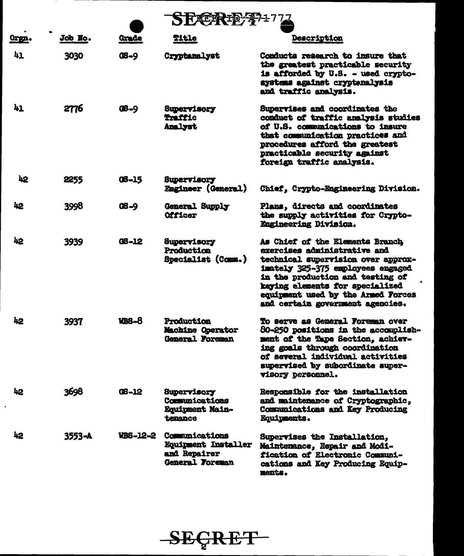| Orgn.               | Job No. | Grade        | Title                                                                           | <b>Description</b>                                                                                                                                                                                                                                                                          |  |
|---------------------|---------|--------------|---------------------------------------------------------------------------------|---------------------------------------------------------------------------------------------------------------------------------------------------------------------------------------------------------------------------------------------------------------------------------------------|--|
| 41                  | 3030    | <b>08-9</b>  | Cryptanalyst                                                                    | Conducts research to insure that<br>the greatest practicable security<br>is afforded by U.S. - used crypto-<br>systems against cryptenalysis<br>and traffic analysis.                                                                                                                       |  |
| 41                  | 2776    | $08 - 9$     | <b>Supervisory</b><br>Traffic<br>Analyst                                        | Supervises and coordinates the<br>conduct of traffic analysis studies<br>of U.S. communications to insure<br>that communication practices and<br>procedures afford the greatest<br>practicable security against<br>foreign traffic analysis.                                                |  |
| 42                  | 2255    | $08 - 15$    | Supervisory<br>Eagineer (General)                                               | Chief, Crypto-Engineering Division.                                                                                                                                                                                                                                                         |  |
| 42                  | 3998    | <b>08-9</b>  | General Supply<br>Officer                                                       | Plans, directs and coordinates<br>the supply activities for Crypto-<br>Engineering Division.                                                                                                                                                                                                |  |
| 42                  | 3939    | <b>GB-12</b> | Supervisory<br>Production<br>Specialist (Comm.)                                 | As Chief of the Elements Branch<br>exercises administrative and<br>technical supervision over approx-<br>imately 325-375 employees engaged<br>in the production and testing of<br>keying elements for specialized<br>equipment used by the Armed Porces<br>and certain government agencies. |  |
| 42                  | 3937    | <b>WBS-8</b> | Production<br>Machine Operator<br>General Foreman                               | To serve as General Foreman over<br>80-250 positions in the accomplish-<br>ment of the Tape Section, achiev-<br>ing goals through coordination<br>of several individual activities<br>supervised by subordinate super-<br>visory personnel.                                                 |  |
| 42<br>$\pmb{\cdot}$ | 3698    | $08 - 12$    | <b>Supervisory</b><br>Communications<br><b>Equipment Main-</b><br>tenance       | Responsible for the installation<br>and maintenance of Cryptographic,<br>Communications and Key Producing<br>Equipments.                                                                                                                                                                    |  |
| 42                  | 3553-A  | WBS-12-2     | Communications<br>Equipment Installer<br>and Repairer<br><b>General Foreman</b> | Supervises the Installation,<br>Maintenance, Repair and Modi-<br>fication of Electronic Communi-<br>cations and Key Producing Equip-<br>ments.                                                                                                                                              |  |



 $\mathcal{L}$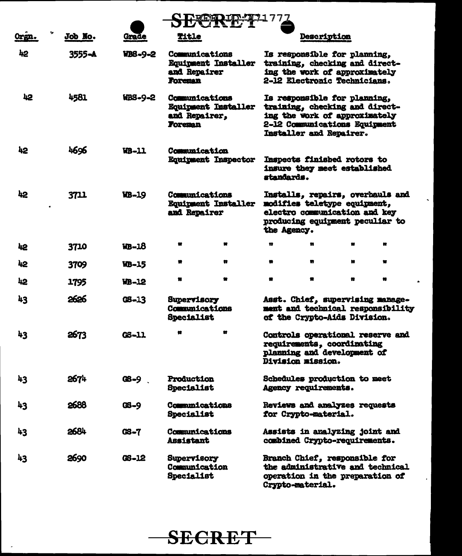| Orgn. | Job No.    | Grade        | Title                                                     |                            |                      | Description |                                                                                                                                                             |                                                                       |
|-------|------------|--------------|-----------------------------------------------------------|----------------------------|----------------------|-------------|-------------------------------------------------------------------------------------------------------------------------------------------------------------|-----------------------------------------------------------------------|
| 42    | $3555 - A$ | WB8-9-2      | Communications<br>and Repairer<br><b>Foreman</b>          | <b>Equipment Installer</b> |                      |             | Is responsible for planning,<br>training, checking and direct-<br>ing the work of approximately<br>2-12 Electronic Technicians.                             |                                                                       |
| 42    | 4581       | HBS-9-2      | Communications<br>and Repairer,<br><b>Foreman</b>         | <b>Equipment Installer</b> |                      |             | Is responsible for planning,<br>training, checking and direct-<br>ing the work of approximately<br>2-12 Communications Equipment<br>Installer and Repairer. |                                                                       |
| 42    | 4696       | <b>WB-11</b> | Communication<br><b>Equipment Inspector</b>               |                            | standards.           |             | Inspects finished rotors to<br>insure they meet established                                                                                                 |                                                                       |
| 42    | 3711       | WB-19        | <b>Communications</b><br>and Repairer                     | <b>Equipment Installer</b> | the Agency.          |             | modifies teletype equipment,<br>electro communication and key<br>producing equipment peculiar to                                                            | Installs, repairs, overbauls and                                      |
| 42    | 3710       | <b>WB-18</b> |                                                           | ĸ                          | n                    | n           |                                                                                                                                                             | n                                                                     |
| 42    | 3709       | <b>VB-15</b> |                                                           | n                          |                      | w           | ĸ                                                                                                                                                           |                                                                       |
| 42    | 1795       | WB-12        |                                                           |                            | n                    |             | 體                                                                                                                                                           | ×                                                                     |
| 43    | 2626       | $05 - 13$    | <b>Supervisory</b><br>Communications<br><b>Specialist</b> |                            |                      |             | of the Crypto-Aids Division.                                                                                                                                | Asst. Chief, supervising manage-<br>ment and technical responsibility |
| 43    | 2673       | <b>CS-11</b> |                                                           | Ħ                          | Division mission.    |             | requirements, coordinating<br>planning and development of                                                                                                   | Controls operational reserve and                                      |
| 43    | 2674       | $08 - 9$     | <b>Production</b><br>Specialist                           |                            | Agency requirements. |             | Schedules production to meet                                                                                                                                |                                                                       |
| 43    | 2688       | $OS - 9$     | Communications<br><b>Specialist</b>                       |                            | for Crypto-material. |             | Reviews and analyzes requests                                                                                                                               |                                                                       |
| 43    | 2684       | GS-7         | Communications<br><b>Assistant</b>                        |                            |                      |             | Assists in analyzing joint and<br>combined Crypto-requirements.                                                                                             |                                                                       |
| 43    | 2690       | GS-12        | <b>Supervisory</b><br>Communication<br>Specialist         |                            | Crypto-material.     |             | Branch Chief, responsible for<br>operation in the preparation of                                                                                            | the administrative and technical                                      |

 $\sim$ 

 $\bullet$ 



 $\sim$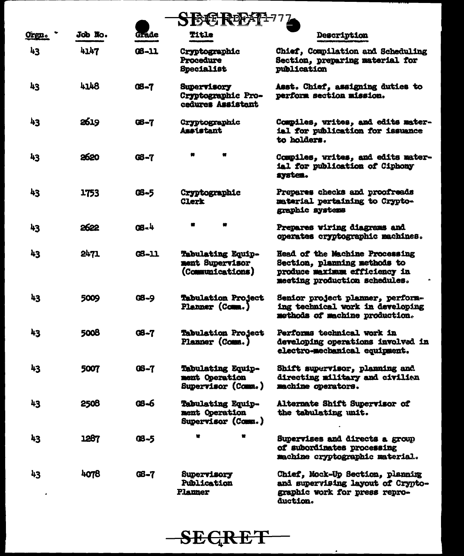| <b>SB转日</b>  |         |             |                                                               |                                                                                                                                         |
|--------------|---------|-------------|---------------------------------------------------------------|-----------------------------------------------------------------------------------------------------------------------------------------|
| <u>Orgn.</u> | Job No. | Grade       | Title                                                         | <b>Description</b>                                                                                                                      |
| 43           | 4147    | $08 - 11$   | Cryptographic<br>Procedure<br>Specialist                      | Chief, Compilation and Scheduling<br>Section, preparing material for<br>publication                                                     |
| 43           | 4148    | <b>08-7</b> | <b>Supervisory</b><br>Cryptographic Pro-<br>cedures Assistant | Asst. Chief, assigning duties to<br>perform section mission.                                                                            |
| 43           | 2619    | 06-7        | <b>Cryptographic</b><br><b>Assistant</b>                      | Compiles, writes, and edits mater-<br>ial for publication for issuance<br>to holders.                                                   |
| 43           | 2620    | <b>08-7</b> |                                                               | Compiles, writes, and edits mater-<br>ial for publication of Ciphony<br>system.                                                         |
| 43           | 1753    | GS-5        | Cryptographic<br><b>Clerk</b>                                 | Prepares checks and proofreads<br>material pertaining to Crypto-<br>graphic systems                                                     |
| 43           | 2622    | $08 - 4$    |                                                               | Prepares viring diagrams and<br>operates cryptographic machines.                                                                        |
| 43           | 2471    | GS-11       | Tabulating Equip-<br>ment Supervisor<br>(Communications)      | <b>Head of the Machine Processing</b><br>Section, planning methods to<br>produce maximum efficiency in<br>meeting production schedules. |
| 43           | 5009    | GB-9        | Tabulation Project<br>Planner (Comm.)                         | Senior project planner, perform-<br>ing technical work in developing<br>methods of machine production.                                  |
| 43           | 5008    | GS-7        | Tabulation Project<br>Planner (Comm.)                         | Performs technical work in<br>developing operations involved in<br>electro-mechanical equipment.                                        |
| 43           | 5007    | $0S - 7$    | Tabulating Equip-<br>ment Operation<br>Supervisor (Comm.)     | Shift supervisor, planning and<br>directing military and civilian<br>machine operators.                                                 |
| 43           | 2508    | 08-6        | Tabulating Equip-<br>ment Operation<br>Supervisor (Comm.)     | Alternate Shift Supervisor of<br>the tabulating unit.                                                                                   |
| 43           | 1287    | QS-5        | ×                                                             | Supervises and directs a group<br>of subordinates processing<br>machine cryptographic material.                                         |
| 43           | 4078    | $C_{5-7}$   | <b>Supervisory</b><br>Publication<br><b>Planner</b>           | Chief, Mock-Up Section, planning<br>and supervising layout of Crypto-<br>graphic work for press repro-<br>duction.                      |